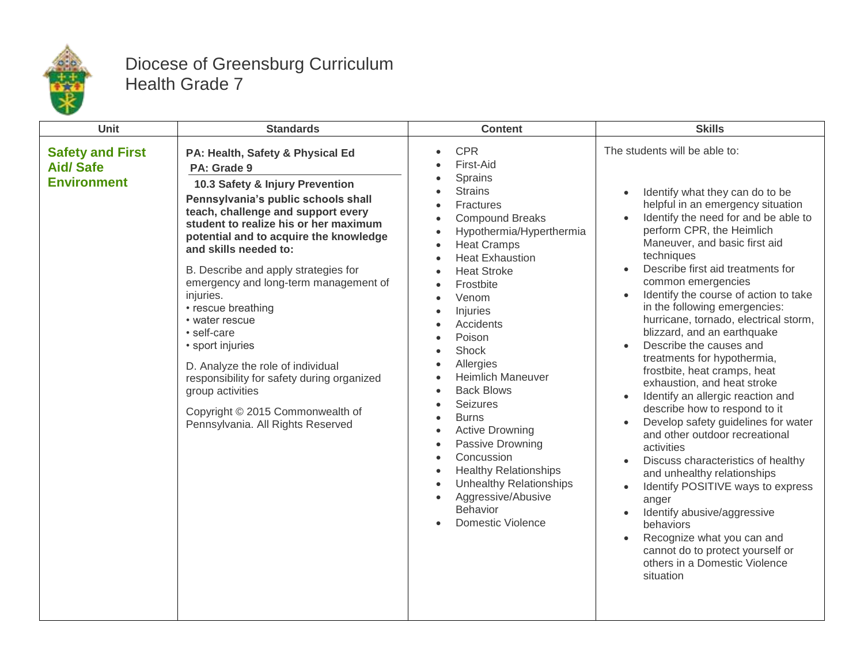

## Diocese of Greensburg Curriculum Health Grade 7

| <b>Unit</b>                                                      | <b>Standards</b>                                                                                                                                                                                                                                                                                                                                                                                                                                                                                                                                                                                                                     | <b>Content</b>                                                                                                                                                                                                                                                                                                                                                                                                                                                                                                                                                                                                                                                                                       | <b>Skills</b>                                                                                                                                                                                                                                                                                                                                                                                                                                                                                                                                                                                                                                                                                                                                                                                                                                                                                                                                                                                               |
|------------------------------------------------------------------|--------------------------------------------------------------------------------------------------------------------------------------------------------------------------------------------------------------------------------------------------------------------------------------------------------------------------------------------------------------------------------------------------------------------------------------------------------------------------------------------------------------------------------------------------------------------------------------------------------------------------------------|------------------------------------------------------------------------------------------------------------------------------------------------------------------------------------------------------------------------------------------------------------------------------------------------------------------------------------------------------------------------------------------------------------------------------------------------------------------------------------------------------------------------------------------------------------------------------------------------------------------------------------------------------------------------------------------------------|-------------------------------------------------------------------------------------------------------------------------------------------------------------------------------------------------------------------------------------------------------------------------------------------------------------------------------------------------------------------------------------------------------------------------------------------------------------------------------------------------------------------------------------------------------------------------------------------------------------------------------------------------------------------------------------------------------------------------------------------------------------------------------------------------------------------------------------------------------------------------------------------------------------------------------------------------------------------------------------------------------------|
| <b>Safety and First</b><br><b>Aid/Safe</b><br><b>Environment</b> | PA: Health, Safety & Physical Ed<br>PA: Grade 9<br>10.3 Safety & Injury Prevention<br>Pennsylvania's public schools shall<br>teach, challenge and support every<br>student to realize his or her maximum<br>potential and to acquire the knowledge<br>and skills needed to:<br>B. Describe and apply strategies for<br>emergency and long-term management of<br>injuries.<br>• rescue breathing<br>• water rescue<br>· self-care<br>• sport injuries<br>D. Analyze the role of individual<br>responsibility for safety during organized<br>group activities<br>Copyright © 2015 Commonwealth of<br>Pennsylvania. All Rights Reserved | <b>CPR</b><br>$\bullet$<br>First-Aid<br>Sprains<br><b>Strains</b><br>Fractures<br><b>Compound Breaks</b><br>Hypothermia/Hyperthermia<br><b>Heat Cramps</b><br>$\bullet$<br><b>Heat Exhaustion</b><br><b>Heat Stroke</b><br>Frostbite<br>Venom<br>Injuries<br>$\bullet$<br>Accidents<br>Poison<br>$\bullet$<br>Shock<br>$\bullet$<br>Allergies<br><b>Heimlich Maneuver</b><br><b>Back Blows</b><br>$\bullet$<br>Seizures<br><b>Burns</b><br>$\bullet$<br><b>Active Drowning</b><br>$\bullet$<br>Passive Drowning<br>Concussion<br>$\bullet$<br><b>Healthy Relationships</b><br>$\bullet$<br><b>Unhealthy Relationships</b><br>Aggressive/Abusive<br>$\bullet$<br>Behavior<br><b>Domestic Violence</b> | The students will be able to:<br>Identify what they can do to be<br>helpful in an emergency situation<br>Identify the need for and be able to<br>perform CPR, the Heimlich<br>Maneuver, and basic first aid<br>techniques<br>Describe first aid treatments for<br>common emergencies<br>Identify the course of action to take<br>in the following emergencies:<br>hurricane, tornado, electrical storm,<br>blizzard, and an earthquake<br>Describe the causes and<br>treatments for hypothermia,<br>frostbite, heat cramps, heat<br>exhaustion, and heat stroke<br>Identify an allergic reaction and<br>describe how to respond to it<br>Develop safety guidelines for water<br>and other outdoor recreational<br>activities<br>Discuss characteristics of healthy<br>and unhealthy relationships<br>Identify POSITIVE ways to express<br>anger<br>Identify abusive/aggressive<br>behaviors<br>Recognize what you can and<br>cannot do to protect yourself or<br>others in a Domestic Violence<br>situation |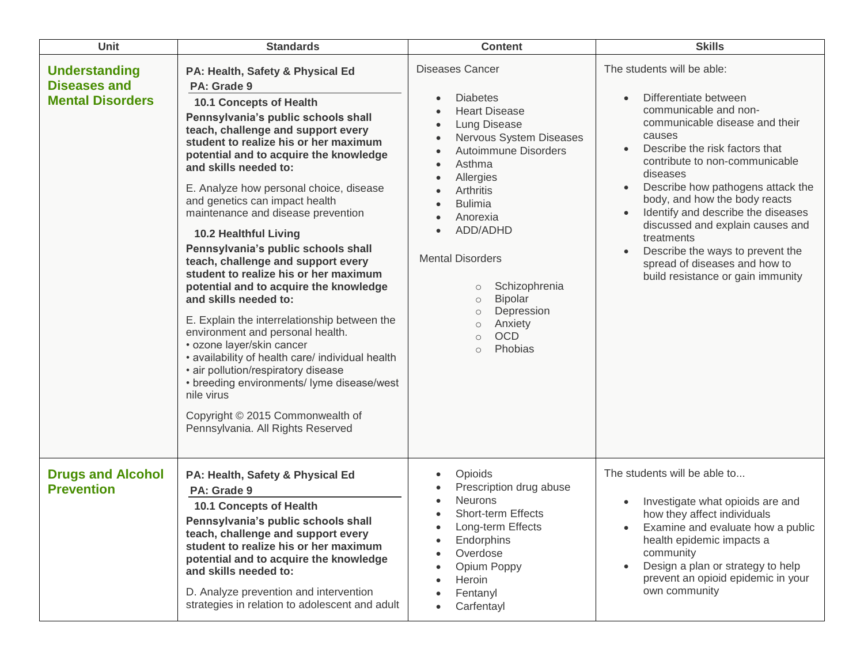| <b>Unit</b>                                                            | <b>Standards</b>                                                                                                                                                                                                                                                                                                                                                                                                                                                                                                                                                                                                                                                                                                                                                                                                                                                                                                                                                 | <b>Content</b>                                                                                                                                                                                                                                                                                                                                                                                                    | <b>Skills</b>                                                                                                                                                                                                                                                                                                                                                                                                                                                                    |
|------------------------------------------------------------------------|------------------------------------------------------------------------------------------------------------------------------------------------------------------------------------------------------------------------------------------------------------------------------------------------------------------------------------------------------------------------------------------------------------------------------------------------------------------------------------------------------------------------------------------------------------------------------------------------------------------------------------------------------------------------------------------------------------------------------------------------------------------------------------------------------------------------------------------------------------------------------------------------------------------------------------------------------------------|-------------------------------------------------------------------------------------------------------------------------------------------------------------------------------------------------------------------------------------------------------------------------------------------------------------------------------------------------------------------------------------------------------------------|----------------------------------------------------------------------------------------------------------------------------------------------------------------------------------------------------------------------------------------------------------------------------------------------------------------------------------------------------------------------------------------------------------------------------------------------------------------------------------|
| <b>Understanding</b><br><b>Diseases and</b><br><b>Mental Disorders</b> | PA: Health, Safety & Physical Ed<br>PA: Grade 9<br>10.1 Concepts of Health<br>Pennsylvania's public schools shall<br>teach, challenge and support every<br>student to realize his or her maximum<br>potential and to acquire the knowledge<br>and skills needed to:<br>E. Analyze how personal choice, disease<br>and genetics can impact health<br>maintenance and disease prevention<br><b>10.2 Healthful Living</b><br>Pennsylvania's public schools shall<br>teach, challenge and support every<br>student to realize his or her maximum<br>potential and to acquire the knowledge<br>and skills needed to:<br>E. Explain the interrelationship between the<br>environment and personal health.<br>• ozone layer/skin cancer<br>• availability of health care/ individual health<br>• air pollution/respiratory disease<br>• breeding environments/ lyme disease/west<br>nile virus<br>Copyright © 2015 Commonwealth of<br>Pennsylvania. All Rights Reserved | <b>Diseases Cancer</b><br><b>Diabetes</b><br><b>Heart Disease</b><br><b>Lung Disease</b><br>Nervous System Diseases<br>Autoimmune Disorders<br>Asthma<br>Allergies<br>Arthritis<br><b>Bulimia</b><br>Anorexia<br>ADD/ADHD<br><b>Mental Disorders</b><br>Schizophrenia<br>$\circ$<br><b>Bipolar</b><br>$\circ$<br>Depression<br>$\circ$<br>Anxiety<br>$\circ$<br><b>OCD</b><br>$\bigcirc$<br>Phobias<br>$\bigcirc$ | The students will be able:<br>Differentiate between<br>communicable and non-<br>communicable disease and their<br>causes<br>Describe the risk factors that<br>contribute to non-communicable<br>diseases<br>Describe how pathogens attack the<br>body, and how the body reacts<br>Identify and describe the diseases<br>discussed and explain causes and<br>treatments<br>Describe the ways to prevent the<br>spread of diseases and how to<br>build resistance or gain immunity |
| <b>Drugs and Alcohol</b><br><b>Prevention</b>                          | PA: Health, Safety & Physical Ed<br>PA: Grade 9<br>10.1 Concepts of Health<br>Pennsylvania's public schools shall<br>teach, challenge and support every<br>student to realize his or her maximum<br>potential and to acquire the knowledge<br>and skills needed to:<br>D. Analyze prevention and intervention<br>strategies in relation to adolescent and adult                                                                                                                                                                                                                                                                                                                                                                                                                                                                                                                                                                                                  | <b>Opioids</b><br>$\bullet$<br>Prescription drug abuse<br><b>Neurons</b><br>Short-term Effects<br>Long-term Effects<br>Endorphins<br>Overdose<br>Opium Poppy<br>Heroin<br>Fentanyl<br>Carfentayl<br>$\bullet$                                                                                                                                                                                                     | The students will be able to<br>Investigate what opioids are and<br>how they affect individuals<br>Examine and evaluate how a public<br>health epidemic impacts a<br>community<br>Design a plan or strategy to help<br>prevent an opioid epidemic in your<br>own community                                                                                                                                                                                                       |